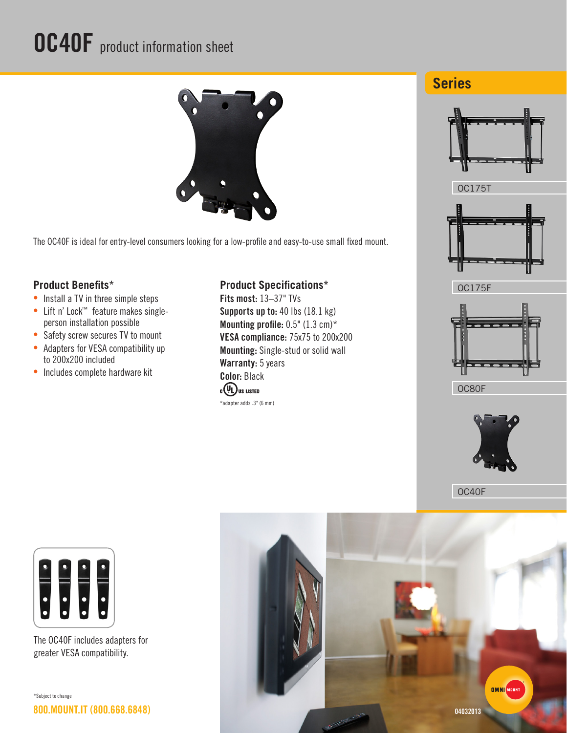## OC40F product information sheet



The OC40F is ideal for entry-level consumers looking for a low-profile and easy-to-use small fixed mount.

## **Product Benefits\***

- Install a TV in three simple steps
- • Lift n' Lock™ feature makes singleperson installation possible
- Safety screw secures TV to mount
- Adapters for VESA compatibility up to 200x200 included
- Includes complete hardware kit

## **Product Specifications\***

Fits most: 13–37" TVs Supports up to: 40 lbs (18.1 kg) Mounting profile:  $0.5$ " ( $1.3$  cm)\* VESA compliance: 75x75 to 200x200 Mounting: Single-stud or solid wall Warranty: 5 years Color: Black **CUL** US LISTED \*adapter adds .3" (6 mm)











OC80F



OC40F



The OC40F includes adapters for greater VESA compatibility.